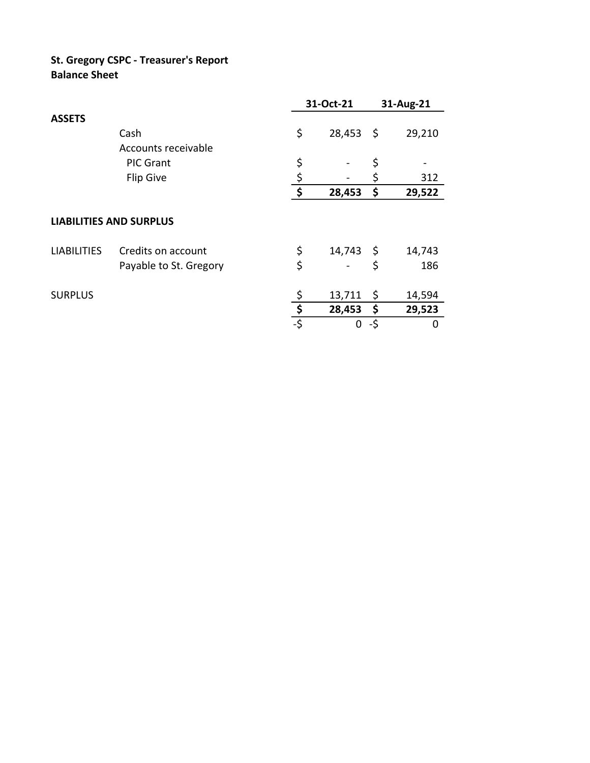## **St. Gregory CSPC - Treasurer's Report Balance Sheet**

|                                |                        |     | 31-Oct-21        |      | 31-Aug-21 |  |
|--------------------------------|------------------------|-----|------------------|------|-----------|--|
| <b>ASSETS</b>                  |                        |     |                  |      |           |  |
|                                | Cash                   | \$  | 28,453           | - \$ | 29,210    |  |
|                                | Accounts receivable    |     |                  |      |           |  |
|                                | <b>PIC Grant</b>       | \$  |                  | \$   |           |  |
|                                | <b>Flip Give</b>       |     |                  | \$   | 312       |  |
|                                |                        | \$  | 28,453           | \$   | 29,522    |  |
| <b>LIABILITIES AND SURPLUS</b> |                        |     |                  |      |           |  |
| <b>LIABILITIES</b>             | Credits on account     | \$  | $14,743 \quad $$ |      | 14,743    |  |
|                                | Payable to St. Gregory | \$  |                  | \$   | 186       |  |
| <b>SURPLUS</b>                 |                        | \$  | 13,711           | \$   | 14,594    |  |
|                                |                        | \$  | 28,453           | -\$  | 29,523    |  |
|                                |                        | -\$ | 0                | -\$  | 0         |  |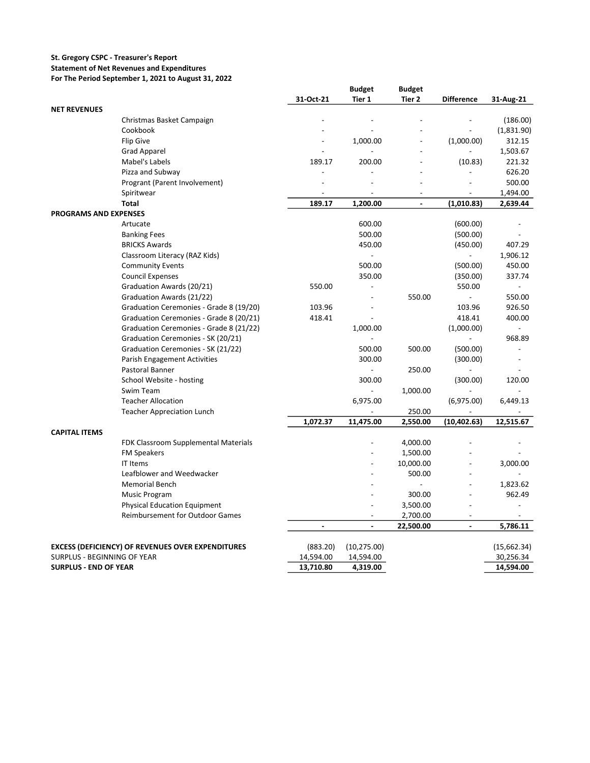## **St. Gregory CSPC - Treasurer's Report**

## **Statement of Net Revenues and Expenditures**

**For The Period September 1, 2021 to August 31, 2022**

|                              |                                                          | 31-Oct-21      | <b>Budget</b><br>Tier 1  | <b>Budget</b><br>Tier 2  | <b>Difference</b>        | 31-Aug-21                |
|------------------------------|----------------------------------------------------------|----------------|--------------------------|--------------------------|--------------------------|--------------------------|
| <b>NET REVENUES</b>          |                                                          |                |                          |                          |                          |                          |
|                              | Christmas Basket Campaign                                |                |                          |                          |                          | (186.00)                 |
|                              | Cookbook                                                 |                |                          |                          |                          | (1,831.90)               |
|                              | Flip Give                                                |                | 1,000.00                 |                          | (1,000.00)               | 312.15                   |
|                              | <b>Grad Apparel</b>                                      |                |                          | $\overline{\phantom{a}}$ |                          | 1,503.67                 |
|                              | Mabel's Labels                                           | 189.17         | 200.00                   |                          | (10.83)                  | 221.32                   |
|                              | Pizza and Subway                                         |                |                          |                          |                          | 626.20                   |
|                              | Progrant (Parent Involvement)                            |                |                          | $\overline{a}$           |                          | 500.00                   |
|                              | Spiritwear                                               |                |                          |                          |                          | 1,494.00                 |
|                              | <b>Total</b>                                             | 189.17         | 1,200.00                 | $\overline{\phantom{a}}$ | (1,010.83)               | 2,639.44                 |
| <b>PROGRAMS AND EXPENSES</b> |                                                          |                |                          |                          |                          |                          |
|                              | Artucate                                                 |                | 600.00                   |                          | (600.00)                 |                          |
|                              | <b>Banking Fees</b>                                      |                | 500.00                   |                          | (500.00)                 |                          |
|                              | <b>BRICKS Awards</b>                                     |                | 450.00                   |                          | (450.00)                 | 407.29                   |
|                              | Classroom Literacy (RAZ Kids)                            |                |                          |                          | $\overline{a}$           | 1,906.12                 |
|                              | <b>Community Events</b>                                  |                | 500.00                   |                          | (500.00)                 | 450.00                   |
|                              |                                                          |                | 350.00                   |                          |                          | 337.74                   |
|                              | <b>Council Expenses</b>                                  | 550.00         |                          |                          | (350.00)<br>550.00       | $\sim$                   |
|                              | Graduation Awards (20/21)                                |                |                          | 550.00                   | $\blacksquare$           |                          |
|                              | Graduation Awards (21/22)                                |                |                          |                          |                          | 550.00                   |
|                              | Graduation Ceremonies - Grade 8 (19/20)                  | 103.96         |                          |                          | 103.96                   | 926.50                   |
|                              | Graduation Ceremonies - Grade 8 (20/21)                  | 418.41         |                          |                          | 418.41                   | 400.00                   |
|                              | Graduation Ceremonies - Grade 8 (21/22)                  |                | 1,000.00                 |                          | (1,000.00)               |                          |
|                              | Graduation Ceremonies - SK (20/21)                       |                |                          |                          |                          | 968.89<br>$\overline{a}$ |
|                              | Graduation Ceremonies - SK (21/22)                       |                | 500.00                   | 500.00                   | (500.00)                 |                          |
|                              | Parish Engagement Activities                             |                | 300.00                   |                          | (300.00)                 |                          |
|                              | Pastoral Banner                                          |                |                          | 250.00                   |                          |                          |
|                              | School Website - hosting                                 |                | 300.00                   |                          | (300.00)                 | 120.00                   |
|                              | Swim Team                                                |                |                          | 1,000.00                 |                          |                          |
|                              | <b>Teacher Allocation</b>                                |                | 6,975.00                 |                          | (6,975.00)               | 6,449.13                 |
|                              | <b>Teacher Appreciation Lunch</b>                        |                |                          | 250.00                   |                          |                          |
|                              |                                                          | 1,072.37       | 11,475.00                | 2,550.00                 | (10, 402.63)             | 12,515.67                |
| <b>CAPITAL ITEMS</b>         |                                                          |                |                          |                          |                          |                          |
|                              | FDK Classroom Supplemental Materials                     |                |                          | 4,000.00                 |                          |                          |
|                              | <b>FM Speakers</b>                                       |                |                          | 1,500.00                 |                          |                          |
|                              | IT Items                                                 |                |                          | 10,000.00                |                          | 3,000.00                 |
|                              | Leafblower and Weedwacker                                |                |                          | 500.00                   |                          |                          |
|                              | <b>Memorial Bench</b>                                    |                |                          |                          |                          | 1,823.62                 |
|                              | Music Program                                            |                |                          | 300.00                   |                          | 962.49                   |
|                              | <b>Physical Education Equipment</b>                      |                |                          | 3,500.00                 | $\overline{a}$           | $\overline{\phantom{a}}$ |
|                              | <b>Reimbursement for Outdoor Games</b>                   |                |                          | 2,700.00                 | $\overline{a}$           | $\overline{a}$           |
|                              |                                                          | $\blacksquare$ | $\overline{\phantom{a}}$ | 22,500.00                | $\overline{\phantom{a}}$ | 5,786.11                 |
|                              | <b>EXCESS (DEFICIENCY) OF REVENUES OVER EXPENDITURES</b> | (883.20)       | (10, 275.00)             |                          |                          | (15,662.34)              |
| SURPLUS - BEGINNING OF YEAR  |                                                          | 14,594.00      | 14,594.00                |                          |                          | 30,256.34                |
| <b>SURPLUS - END OF YEAR</b> |                                                          | 13,710.80      | 4,319.00                 |                          |                          | 14,594.00                |